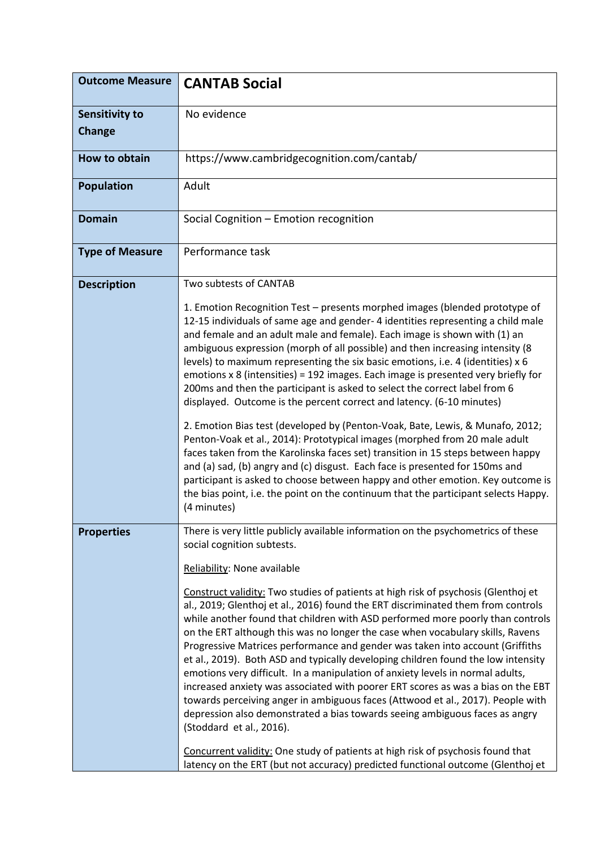| <b>Outcome Measure</b>          | <b>CANTAB Social</b>                                                                                                                                                                                                                                                                                                                                                                                                                                                                                                                                                                                                                                                                                                                                                                                                                                                                                                                                                                                                                                                                                                                                                                                            |
|---------------------------------|-----------------------------------------------------------------------------------------------------------------------------------------------------------------------------------------------------------------------------------------------------------------------------------------------------------------------------------------------------------------------------------------------------------------------------------------------------------------------------------------------------------------------------------------------------------------------------------------------------------------------------------------------------------------------------------------------------------------------------------------------------------------------------------------------------------------------------------------------------------------------------------------------------------------------------------------------------------------------------------------------------------------------------------------------------------------------------------------------------------------------------------------------------------------------------------------------------------------|
| <b>Sensitivity to</b><br>Change | No evidence                                                                                                                                                                                                                                                                                                                                                                                                                                                                                                                                                                                                                                                                                                                                                                                                                                                                                                                                                                                                                                                                                                                                                                                                     |
| How to obtain                   | https://www.cambridgecognition.com/cantab/                                                                                                                                                                                                                                                                                                                                                                                                                                                                                                                                                                                                                                                                                                                                                                                                                                                                                                                                                                                                                                                                                                                                                                      |
| <b>Population</b>               | Adult                                                                                                                                                                                                                                                                                                                                                                                                                                                                                                                                                                                                                                                                                                                                                                                                                                                                                                                                                                                                                                                                                                                                                                                                           |
| <b>Domain</b>                   | Social Cognition - Emotion recognition                                                                                                                                                                                                                                                                                                                                                                                                                                                                                                                                                                                                                                                                                                                                                                                                                                                                                                                                                                                                                                                                                                                                                                          |
| <b>Type of Measure</b>          | Performance task                                                                                                                                                                                                                                                                                                                                                                                                                                                                                                                                                                                                                                                                                                                                                                                                                                                                                                                                                                                                                                                                                                                                                                                                |
| <b>Description</b>              | Two subtests of CANTAB<br>1. Emotion Recognition Test – presents morphed images (blended prototype of<br>12-15 individuals of same age and gender-4 identities representing a child male<br>and female and an adult male and female). Each image is shown with (1) an<br>ambiguous expression (morph of all possible) and then increasing intensity (8<br>levels) to maximum representing the six basic emotions, i.e. 4 (identities) x 6<br>emotions x 8 (intensities) = 192 images. Each image is presented very briefly for<br>200ms and then the participant is asked to select the correct label from 6<br>displayed. Outcome is the percent correct and latency. (6-10 minutes)<br>2. Emotion Bias test (developed by (Penton-Voak, Bate, Lewis, & Munafo, 2012;<br>Penton-Voak et al., 2014): Prototypical images (morphed from 20 male adult<br>faces taken from the Karolinska faces set) transition in 15 steps between happy<br>and (a) sad, (b) angry and (c) disgust. Each face is presented for 150ms and<br>participant is asked to choose between happy and other emotion. Key outcome is<br>the bias point, i.e. the point on the continuum that the participant selects Happy.<br>(4 minutes) |
| <b>Properties</b>               | There is very little publicly available information on the psychometrics of these<br>social cognition subtests.<br>Reliability: None available<br>Construct validity: Two studies of patients at high risk of psychosis (Glenthoj et<br>al., 2019; Glenthoj et al., 2016) found the ERT discriminated them from controls<br>while another found that children with ASD performed more poorly than controls<br>on the ERT although this was no longer the case when vocabulary skills, Ravens<br>Progressive Matrices performance and gender was taken into account (Griffiths<br>et al., 2019). Both ASD and typically developing children found the low intensity<br>emotions very difficult. In a manipulation of anxiety levels in normal adults,<br>increased anxiety was associated with poorer ERT scores as was a bias on the EBT<br>towards perceiving anger in ambiguous faces (Attwood et al., 2017). People with<br>depression also demonstrated a bias towards seeing ambiguous faces as angry<br>(Stoddard et al., 2016).<br>Concurrent validity: One study of patients at high risk of psychosis found that<br>latency on the ERT (but not accuracy) predicted functional outcome (Glenthoj et    |